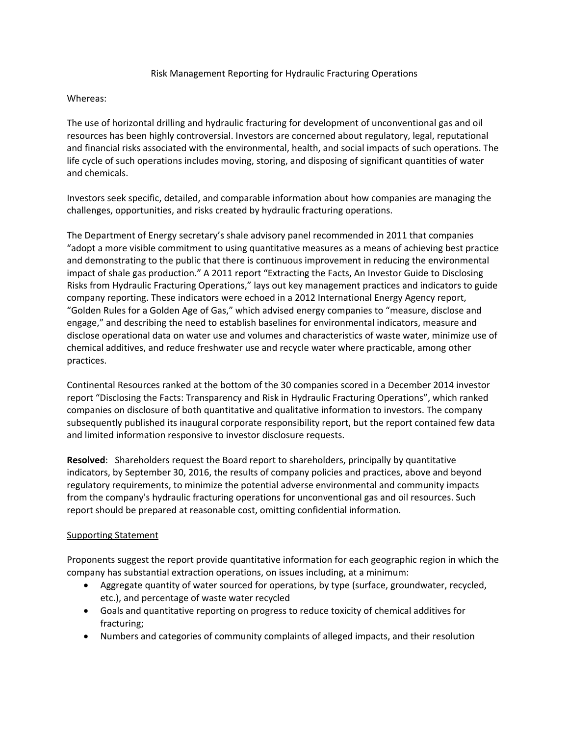## Risk Management Reporting for Hydraulic Fracturing Operations

## Whereas:

The use of horizontal drilling and hydraulic fracturing for development of unconventional gas and oil resources has been highly controversial. Investors are concerned about regulatory, legal, reputational and financial risks associated with the environmental, health, and social impacts of such operations. The life cycle of such operations includes moving, storing, and disposing of significant quantities of water and chemicals.

Investors seek specific, detailed, and comparable information about how companies are managing the challenges, opportunities, and risks created by hydraulic fracturing operations.

The Department of Energy secretary's shale advisory panel recommended in 2011 that companies "adopt a more visible commitment to using quantitative measures as a means of achieving best practice and demonstrating to the public that there is continuous improvement in reducing the environmental impact of shale gas production." A 2011 report "Extracting the Facts, An Investor Guide to Disclosing Risks from Hydraulic Fracturing Operations," lays out key management practices and indicators to guide company reporting. These indicators were echoed in a 2012 International Energy Agency report, "Golden Rules for a Golden Age of Gas," which advised energy companies to "measure, disclose and engage," and describing the need to establish baselines for environmental indicators, measure and disclose operational data on water use and volumes and characteristics of waste water, minimize use of chemical additives, and reduce freshwater use and recycle water where practicable, among other practices.

Continental Resources ranked at the bottom of the 30 companies scored in a December 2014 investor report "Disclosing the Facts: Transparency and Risk in Hydraulic Fracturing Operations", which ranked companies on disclosure of both quantitative and qualitative information to investors. The company subsequently published its inaugural corporate responsibility report, but the report contained few data and limited information responsive to investor disclosure requests.

**Resolved**: Shareholders request the Board report to shareholders, principally by quantitative indicators, by September 30, 2016, the results of company policies and practices, above and beyond regulatory requirements, to minimize the potential adverse environmental and community impacts from the company's hydraulic fracturing operations for unconventional gas and oil resources. Such report should be prepared at reasonable cost, omitting confidential information.

## Supporting Statement

Proponents suggest the report provide quantitative information for each geographic region in which the company has substantial extraction operations, on issues including, at a minimum:

- Aggregate quantity of water sourced for operations, by type (surface, groundwater, recycled, etc.), and percentage of waste water recycled
- Goals and quantitative reporting on progress to reduce toxicity of chemical additives for fracturing;
- Numbers and categories of community complaints of alleged impacts, and their resolution